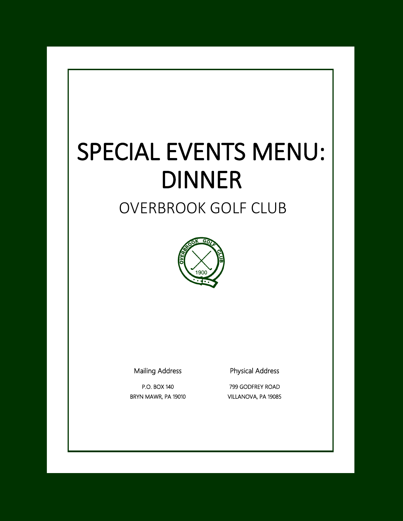# SPECIAL EVENTS MENU: DINNER

# OVERBROOK GOLF CLUB



Mailing Address

P.O. BOX 140 BRYN MAWR, PA 19010 Physical Address

799 GODFREY ROAD VILLANOVA, PA 19085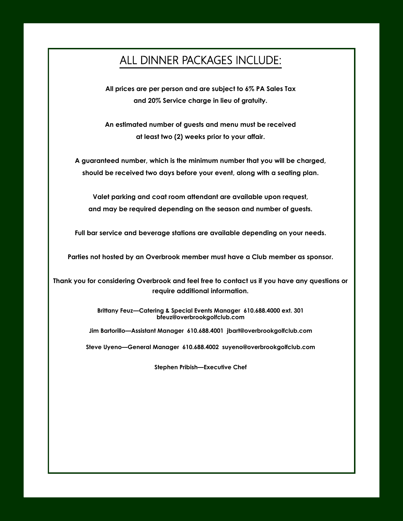## ALL DINNER PACKAGES INCLUDE:

**All prices are per person and are subject to 6% PA Sales Tax and 20% Service charge in lieu of gratuity.**

**An estimated number of guests and menu must be received at least two (2) weeks prior to your affair.**

**A guaranteed number, which is the minimum number that you will be charged, should be received two days before your event, along with a seating plan.**

**Valet parking and coat room attendant are available upon request, and may be required depending on the season and number of guests.**

**Full bar service and beverage stations are available depending on your needs.**

**Parties not hosted by an Overbrook member must have a Club member as sponsor.**

**Thank you for considering Overbrook and feel free to contact us if you have any questions or require additional information.**

> **Brittany Feuz—Catering & Special Events Manager 610.688.4000 ext. 301 bfeuz@overbrookgolfclub.com**

**Jim Bartorillo—Assistant Manager 610.688.4001 jbart@overbrookgolfclub.com**

**Steve Uyeno—General Manager 610.688.4002 suyeno@overbrookgolfclub.com**

**Stephen Pribish—Executive Chef**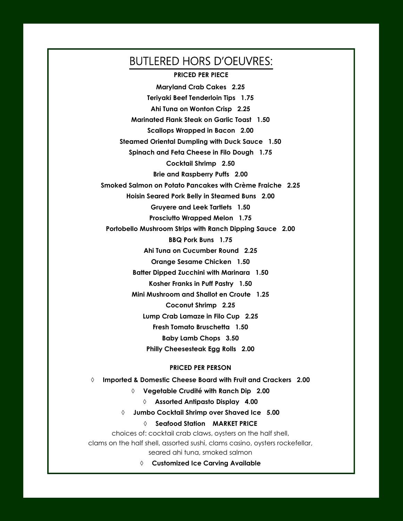# BUTLERED HORS D'OEUVRES:

**PRICED PER PIECE**

**Maryland Crab Cakes 2.25 Teriyaki Beef Tenderloin Tips 1.75 Ahi Tuna on Wonton Crisp 2.25 Marinated Flank Steak on Garlic Toast 1.50 Scallops Wrapped in Bacon 2.00 Steamed Oriental Dumpling with Duck Sauce 1.50 Spinach and Feta Cheese in Filo Dough 1.75 Cocktail Shrimp 2.50 Brie and Raspberry Puffs 2.00 Smoked Salmon on Potato Pancakes with Crème Fraiche 2.25 Hoisin Seared Pork Belly in Steamed Buns 2.00 Gruyere and Leek Tartlets 1.50 Prosciutto Wrapped Melon 1.75 Portobello Mushroom Strips with Ranch Dipping Sauce 2.00 BBQ Pork Buns 1.75 Ahi Tuna on Cucumber Round 2.25 Orange Sesame Chicken 1.50 Batter Dipped Zucchini with Marinara 1.50 Kosher Franks in Puff Pastry 1.50 Mini Mushroom and Shallot en Croute 1.25 Coconut Shrimp 2.25 Lump Crab Lamaze in Filo Cup 2.25 Fresh Tomato Bruschetta 1.50 Baby Lamb Chops 3.50 Philly Cheesesteak Egg Rolls 2.00**

#### **PRICED PER PERSON**

 **Imported & Domestic Cheese Board with Fruit and Crackers 2.00 Vegetable Crudité with Ranch Dip 2.00 Assorted Antipasto Display 4.00 Jumbo Cocktail Shrimp over Shaved Ice 5.00 Seafood Station MARKET PRICE** choices of: cocktail crab claws, oysters on the half shell, clams on the half shell, assorted sushi, clams casino, oysters rockefellar, seared ahi tuna, smoked salmon

**Customized Ice Carving Available**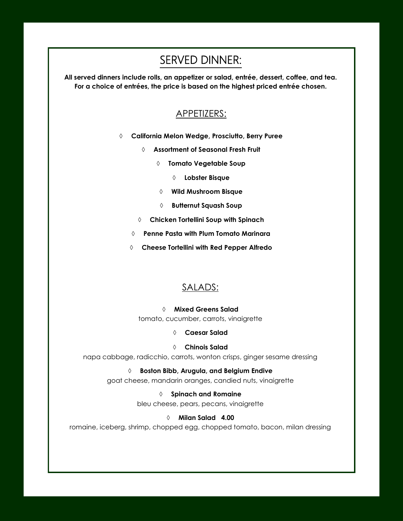# SERVED DINNER:

**All served dinners include rolls, an appetizer or salad, entrée, dessert, coffee, and tea. For a choice of entrées, the price is based on the highest priced entrée chosen.**

## APPETIZERS:

- **California Melon Wedge, Prosciutto, Berry Puree**
	- **Assortment of Seasonal Fresh Fruit** 
		- **Tomato Vegetable Soup**
			- **Lobster Bisque**
		- **Wild Mushroom Bisque**
		- **Butternut Squash Soup**
	- **Chicken Tortellini Soup with Spinach**
	- **Penne Pasta with Plum Tomato Marinara**
	- **Cheese Tortellini with Red Pepper Alfredo**

#### SALADS:

 **Mixed Greens Salad**  tomato, cucumber, carrots, vinaigrette

**Caesar Salad** 

#### **Chinois Salad**

napa cabbage, radicchio, carrots, wonton crisps, ginger sesame dressing

#### **Boston Bibb, Arugula, and Belgium Endive**

goat cheese, mandarin oranges, candied nuts, vinaigrette

 **Spinach and Romaine** bleu cheese, pears, pecans, vinaigrette

#### **Milan Salad 4.00**

romaine, iceberg, shrimp, chopped egg, chopped tomato, bacon, milan dressing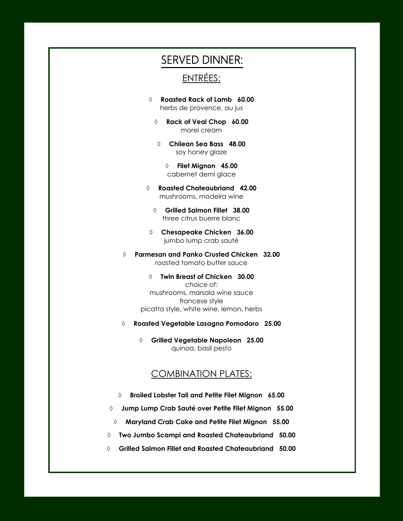## SERVED DINNER:

## ENTRÉES:

- **Roasted Rack of Lamb 60.00**  herbs de provence, au jus
	- **Rack of Veal Chop 60.00** morel cream
	- **Chilean Sea Bass 48.00** soy honey glaze
		- **Filet Mignon 45.00** cabernet demi glace
- **Roasted Chateaubriand 42.00** mushrooms, madeira wine
	- **Grilled Salmon Fillet 38.00** three citrus buerre blanc
- **Chesapeake Chicken 36.00** jumbo lump crab sauté
- **Parmesan and Panko Crusted Chicken 32.00** roasted tomato butter sauce
	- **Twin Breast of Chicken 30.00** choice of: mushrooms, marsala wine sauce francese style picatta style, white wine, lemon, herbs
- **Roasted Vegetable Lasagna Pomodoro 25.00**
	- **Grilled Vegetable Napoleon 25.00** quinoa, basil pesto

### COMBINATION PLATES:

- **Broiled Lobster Tail and Petite Filet Mignon 65.00**
- **Jump Lump Crab Sauté over Petite Filet Mignon 55.00**
- **Maryland Crab Cake and Petite Filet Mignon 55.00**
- **Two Jumbo Scampi and Roasted Chateaubriand 50.00**
- **Grilled Salmon Fillet and Roasted Chateaubriand 50.00**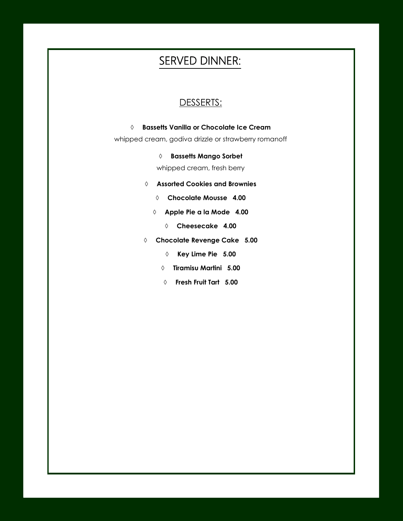# SERVED DINNER:

## DESSERTS:

#### **Bassetts Vanilla or Chocolate Ice Cream**

whipped cream, godiva drizzle or strawberry romanoff

#### **Bassetts Mango Sorbet**

whipped cream, fresh berry

- **Assorted Cookies and Brownies**
	- **Chocolate Mousse 4.00**
	- **Apple Pie a la Mode 4.00**
		- **Cheesecake 4.00**
- **Chocolate Revenge Cake 5.00**
	- **Key Lime Pie 5.00**
	- **Tiramisu Martini 5.00**
	- **Fresh Fruit Tart 5.00**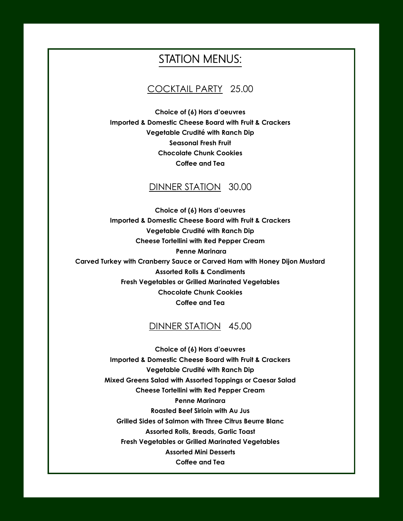## STATION MENUS:

#### COCKTAIL PARTY 25.00

**Choice of (6) Hors d'oeuvres Imported & Domestic Cheese Board with Fruit & Crackers Vegetable Crudité with Ranch Dip Seasonal Fresh Fruit Chocolate Chunk Cookies Coffee and Tea**

#### DINNER STATION 30.00

**Choice of (6) Hors d'oeuvres Imported & Domestic Cheese Board with Fruit & Crackers Vegetable Crudité with Ranch Dip Cheese Tortellini with Red Pepper Cream Penne Marinara Carved Turkey with Cranberry Sauce or Carved Ham with Honey Dijon Mustard Assorted Rolls & Condiments Fresh Vegetables or Grilled Marinated Vegetables Chocolate Chunk Cookies Coffee and Tea**

#### DINNER STATION 45.00

**Choice of (6) Hors d'oeuvres Imported & Domestic Cheese Board with Fruit & Crackers Vegetable Crudité with Ranch Dip Mixed Greens Salad with Assorted Toppings or Caesar Salad Cheese Tortellini with Red Pepper Cream Penne Marinara Roasted Beef Sirloin with Au Jus Grilled Sides of Salmon with Three Citrus Beurre Blanc Assorted Rolls, Breads, Garlic Toast Fresh Vegetables or Grilled Marinated Vegetables Assorted Mini Desserts Coffee and Tea**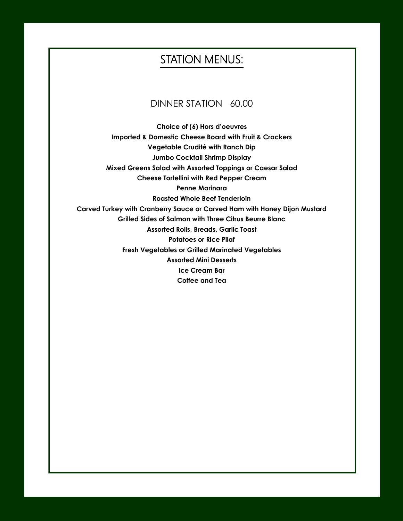## STATION MENUS:

## DINNER STATION 60.00

**Choice of (6) Hors d'oeuvres Imported & Domestic Cheese Board with Fruit & Crackers Vegetable Crudité with Ranch Dip Jumbo Cocktail Shrimp Display Mixed Greens Salad with Assorted Toppings or Caesar Salad Cheese Tortellini with Red Pepper Cream Penne Marinara Roasted Whole Beef Tenderloin Carved Turkey with Cranberry Sauce or Carved Ham with Honey Dijon Mustard Grilled Sides of Salmon with Three Citrus Beurre Blanc Assorted Rolls, Breads, Garlic Toast Potatoes or Rice Pilaf Fresh Vegetables or Grilled Marinated Vegetables Assorted Mini Desserts Ice Cream Bar Coffee and Tea**